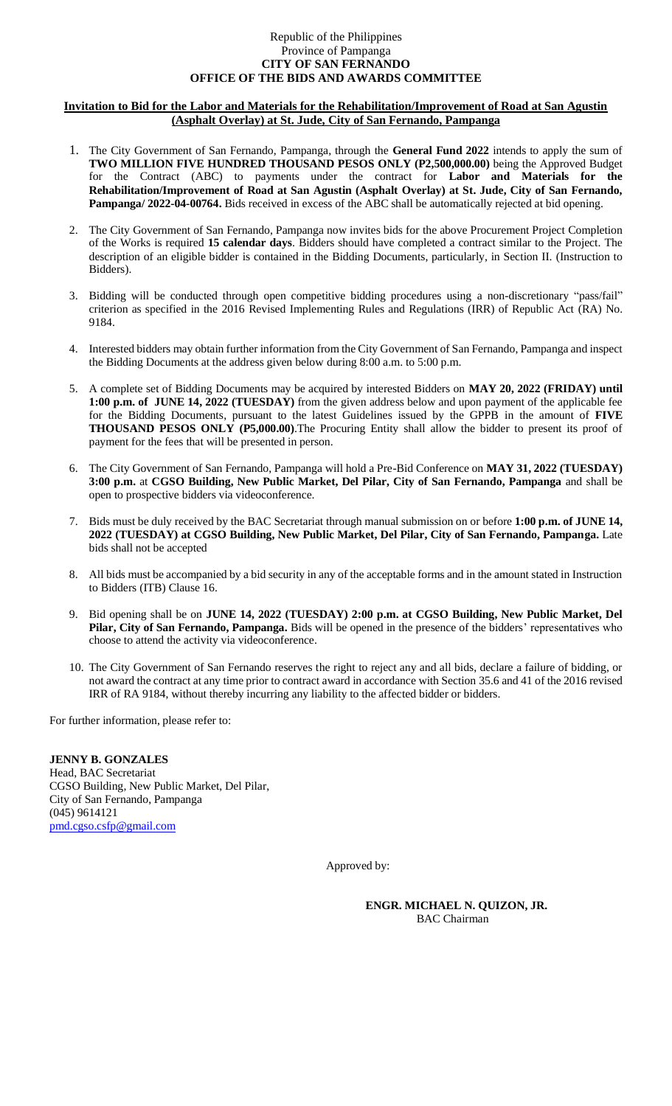## Republic of the Philippines Province of Pampanga **CITY OF SAN FERNANDO OFFICE OF THE BIDS AND AWARDS COMMITTEE**

## **Invitation to Bid for the Labor and Materials for the Rehabilitation/Improvement of Road at San Agustin (Asphalt Overlay) at St. Jude, City of San Fernando, Pampanga**

- 1. The City Government of San Fernando, Pampanga, through the **General Fund 2022** intends to apply the sum of **TWO MILLION FIVE HUNDRED THOUSAND PESOS ONLY (P2,500,000.00)** being the Approved Budget for the Contract (ABC) to payments under the contract for **Labor and Materials for the Rehabilitation/Improvement of Road at San Agustin (Asphalt Overlay) at St. Jude, City of San Fernando, Pampanga/ 2022-04-00764.** Bids received in excess of the ABC shall be automatically rejected at bid opening.
- 2. The City Government of San Fernando, Pampanga now invites bids for the above Procurement Project Completion of the Works is required **15 calendar days**. Bidders should have completed a contract similar to the Project. The description of an eligible bidder is contained in the Bidding Documents, particularly, in Section II. (Instruction to Bidders).
- 3. Bidding will be conducted through open competitive bidding procedures using a non-discretionary "pass/fail" criterion as specified in the 2016 Revised Implementing Rules and Regulations (IRR) of Republic Act (RA) No. 9184.
- 4. Interested bidders may obtain further information from the City Government of San Fernando, Pampanga and inspect the Bidding Documents at the address given below during 8:00 a.m. to 5:00 p.m.
- 5. A complete set of Bidding Documents may be acquired by interested Bidders on **MAY 20, 2022 (FRIDAY) until 1:00 p.m. of JUNE 14, 2022 (TUESDAY)** from the given address below and upon payment of the applicable fee for the Bidding Documents, pursuant to the latest Guidelines issued by the GPPB in the amount of **FIVE THOUSAND PESOS ONLY (P5,000.00)**.The Procuring Entity shall allow the bidder to present its proof of payment for the fees that will be presented in person.
- 6. The City Government of San Fernando, Pampanga will hold a Pre-Bid Conference on **MAY 31, 2022 (TUESDAY) 3:00 p.m.** at **CGSO Building, New Public Market, Del Pilar, City of San Fernando, Pampanga** and shall be open to prospective bidders via videoconference.
- 7. Bids must be duly received by the BAC Secretariat through manual submission on or before **1:00 p.m. of JUNE 14, 2022 (TUESDAY) at CGSO Building, New Public Market, Del Pilar, City of San Fernando, Pampanga.** Late bids shall not be accepted
- 8. All bids must be accompanied by a bid security in any of the acceptable forms and in the amount stated in Instruction to Bidders (ITB) Clause 16.
- 9. Bid opening shall be on **JUNE 14, 2022 (TUESDAY) 2:00 p.m. at CGSO Building, New Public Market, Del Pilar, City of San Fernando, Pampanga.** Bids will be opened in the presence of the bidders' representatives who choose to attend the activity via videoconference.
- 10. The City Government of San Fernando reserves the right to reject any and all bids, declare a failure of bidding, or not award the contract at any time prior to contract award in accordance with Section 35.6 and 41 of the 2016 revised IRR of RA 9184, without thereby incurring any liability to the affected bidder or bidders.

For further information, please refer to:

**JENNY B. GONZALES** Head, BAC Secretariat CGSO Building, New Public Market, Del Pilar, City of San Fernando, Pampanga (045) 9614121 [pmd.cgso.csfp@gmail.com](mailto:pmd.cgso.csfp@gmail.com)

Approved by:

**ENGR. MICHAEL N. QUIZON, JR.** BAC Chairman